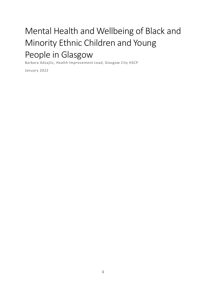# Mental Health and Wellbeing of Black and Minority Ethnic Children and Young People in Glasgow

Barbara Adzajlic, Health Improvement Lead, Glasgow City HSCP

January 2022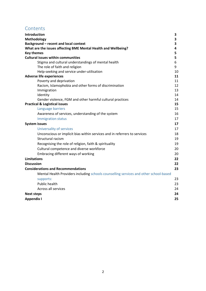# **Contents**

| Introduction<br>3                                                                     |
|---------------------------------------------------------------------------------------|
| Methodology<br>3                                                                      |
| Background - recent and local context<br>3                                            |
| What are the issues affecting BME Mental Health and Wellbeing?<br>4                   |
| <b>Key themes</b><br>5                                                                |
| <b>Cultural issues within communities</b><br>5                                        |
| Stigma and cultural understandings of mental health<br>6                              |
| 9<br>The role of faith and religion                                                   |
| Help-seeking and service under-utilisation<br>10                                      |
| <b>Adverse life experiences</b><br>11                                                 |
| Poverty and deprivation<br>11                                                         |
| Racism, Islamophobia and other forms of discrimination<br>12                          |
| 13<br>Immigration                                                                     |
| Identity<br>14                                                                        |
| Gender violence, FGM and other harmful cultural practices<br>14                       |
| <b>Practical &amp; Logistical issues</b><br>15<br>15                                  |
| Language barriers                                                                     |
| Awareness of services, understanding of the system<br>16                              |
| <b>Immigration status</b><br>17                                                       |
| <b>System issues</b><br>17                                                            |
| <b>Universality of services</b><br>17                                                 |
| Unconscious or implicit bias within services and in referrers to services<br>18       |
| Structural racism<br>19                                                               |
| Recognising the role of religion, faith & spirituality<br>19                          |
| Cultural competence and diverse workforce<br>20                                       |
| Embracing different ways of working<br>20                                             |
| <b>Limitations</b><br>22                                                              |
| <b>Discussion</b><br>22                                                               |
| <b>Considerations and Recommendations</b><br>23                                       |
| Mental Health Providers including schools counselling services and other school-based |
| 23<br>supports:                                                                       |
| Public health<br>23                                                                   |
| Across all services<br>24                                                             |
| 24<br><b>Next steps</b>                                                               |
| <b>Appendix I</b><br>25                                                               |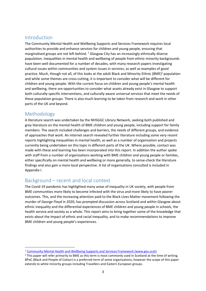# Introduction

The Community Mental Health and Wellbeing Supports and Services Framework requires local authorities to provide and enhance services for children and young people, ensuring that marginalised groups are not left behind.  $^1$  Glasgow City has an increasingly ethnically diverse population. Inequalities in mental health and wellbeing of people from ethnic minority backgrounds have been well documented for a number of decades, with many research papers investigating cultural issues within communities and system issues in services, as well as examples of good practice. Much, though not all, of this looks at the adult Black and Minority Ethnic (BME)<sup>2</sup> population and while some themes are cross-cutting, it is important to consider what will be different for children and young people. With the current focus on children and young people's mental health and wellbeing, there are opportunities to consider what assets already exist in Glasgow to support both culturally-specific interventions, and culturally aware universal services that meet the needs of these population groups. There is also much learning to be taken from research and work in other parts of the UK and beyond.

# Methodology

 $\overline{\phantom{0}}$ 

A literature search was undertaken by the NHSGGC Library Network, seeking both published and grey literature on the mental health of BME children and young people, including support for family members. The search included challenges and barriers, the needs of different groups, and evidence of approaches that work. An internet search revealed further literature including some very recent reports highlighting inequalities in mental health, as well as a number of organisation and projects currently being undertaken on this topic in different parts of the UK. Where possible, contact was made with these and learning has been incorporated into this report. In addition the author spoke with staff from a number of organisations working with BME children and young people or families, either specifically on mental health and wellbeing or more generally, to sense-check the literature findings and also gain a more local perspective. A list of organisations consulted is included in Appendix I.

# Background – recent and local context

The Covid-19 pandemic has highlighted many areas of inequality in UK society, with people from BME communities more likely to become infected with the virus and more likely to have poorer outcomes. This, and the increasing attention paid to the Black Lives Matter movement following the murder of George Floyd in 2020, has prompted discussion across Scotland and within Glasgow about ethnic inequality and the differential experiences of BME children and young people in schools, the health service and society as a whole. This report aims to bring together some of the knowledge that exists about the impact of ethnic and racial inequality, and to make recommendations to improve BME children and young people's experiences.

<sup>1</sup> Community Mental Health and Wellbeing Supports and Services Framework (www.gov.scot)

<sup>&</sup>lt;sup>2</sup> This paper will refer primarily to BME as this term is most commonly used in Scotland at the time of writing. BPoC (Black and People of Colour) is a preferred term of some organisations, however the scope of this paper extends to white minority groups including Travellers and Eastern European groups.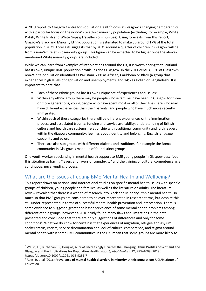A 2019 report by Glasgow Centre for Population Health<sup>3</sup> looks at Glasgow's changing demographics with a particular focus on the non-White ethnic minority population (excluding, for example, White Polish, White Irish and White Gypsy/Traveller communities). Using forecasts from this report, Glasgow's Black and Minority Ethnic population is estimated to make up around 17% of the total population in 2021. Forecasts suggests that by 2031 around a quarter of children in Glasgow will be from a non-White ethnic minority group. This figure can be expected to be higher once the abovementioned White minority groups are included.

While we can learn from examples of interventions around the UK, it is worth noting that Scotland has its own, unique BME population profile, as does Glasgow. In the 2011 census, 33% of Glasgow's non-White population identified as Pakistani, 21% as African, Caribbean or Black (a group that experiences high levels of deprivation and unemployment), and 14% as Indian or Bangladeshi. It is important to note that

- Each of these ethnic groups has its own unique set of experiences and issues;
- Within any ethnic group there may be people whose families have been in Glasgow for three or more generations; young people who have spent most or all of their lives here who may have different experiences than their parents; and people who have much more recently immigrated;
- Within each of these categories there will be different experiences of the immigration process and associated trauma; funding and service availability; understanding of British culture and health care systems; relationship with traditional community and faith leaders within the diaspora community; feelings about identity and belonging, English language capability and so on.
- There are also sub groups with different dialects and traditions, for example the Roma community in Glasgow is made up of four distinct groups.

One youth worker specialising in mental health support to BME young people in Glasgow described this situation as having "layers and layers of complexity" and the gaining of cultural competence as a continuous, never-ending process.

# What are the issues affecting BME Mental Health and Wellbeing?

This report draws on national and international studies on specific mental health issues with specific groups of children, young people and families, as well as the literature on adults. The literature review revealed that there is a wealth of research into Black and Minority Ethnic mental health, so much so that BME groups are considered to be over-represented in research terms, but despite this still under-represented in terms of successful mental health prevention and intervention. There is some evidence to suggest a greater or lesser prevalence of some mental health problems among different ethnic groups, however a 2016 study found many flaws and limitations in the data presented and concluded that there are only suggestions of differences and only for some conditions<sup>4</sup>. What we do know for certain is that experiences of migration, refugee and asylum seeker status, racism, service discrimination and lack of cultural competence, and stigma around mental health within some BME communities in the UK, mean that some groups are more likely to

l

<sup>&</sup>lt;sup>3</sup> Walsh, D., Buchanan, D., Douglas, A. et al. Increasingly Diverse: the Changing Ethnic Profiles of Scotland and Glasgow and the Implications for Population Health. Appl. Spatial Analysis 12, 983–1009 (2019). https://doi.org/10.1007/s12061-018-9281-7

<sup>&</sup>lt;sup>4</sup> Rees, R. et al (2016) Prevalence of mental health disorders in minority ethnic populations UCL/Institute of Education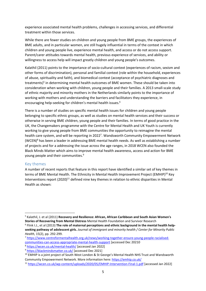experience associated mental health problems, challenges in accessing services, and differential treatment within those services.

While there are fewer studies on children and young people from BME groups, the experiences of BME adults, and in particular women, are still hugely influential in terms of the context in which children and young people live, experience mental health, and access or do not access support. Parent/carer attitudes towards mental health, previous experience of services, and ability or willingness to access help will impact greatly children and young people's outcomes.

Kalathil (2011) points to the importance of socio-cultural context (experiences of racism, sexism and other forms of discrimination), personal and familial context (role within the household, experiences of abuse, spirituality and faith), and biomedical context (acceptance of psychiatric diagnoses and treatments)<sup>5</sup> in determining mental health outcomes of BME women. These should be taken into consideration when working with children, young people and their families. A 2013 small-scale study of ethnic majority and minority mothers in the Netherlands similarly points to the importance of working with mothers and understanding the barriers and facilitators they experience, in encouraging help-seeking for children's mental health issues.<sup>6</sup>

There is a number of studies on specific mental health issues for children and young people belonging to specific ethnic groups, as well as studies on mental health services and their success or otherwise in serving BME children, young people and their families. In terms of good practice in the UK, the Changemakers programme with the Centre for Mental Health and UK Youth is currently working to give young people from BME communities the opportunity to reimagine the mental health care system, and will be reporting in 2022<sup>7</sup>. Wandsworth Community Empowerment Network (WCEN)<sup>8</sup> has been a leader in addressing BME mental health needs. As well as establishing a number of projects and for a addressing the issue across the age ranges, in 2018 WCEN also founded the Black Minds Matter which aims to improve mental health awareness, access and action for BME young people and their communities.<sup>9</sup>

#### Key themes

l

A number of recent reports that feature in this report have identified a similar set of key themes in terms of BME Mental Health. The Ethnicity in Mental Health Improvement Project (EMHIP)<sup>10</sup> Key Interventions report (2020)<sup>11</sup> defined nine key themes in relation to ethnic disparities in Mental Health as shown:

<sup>7</sup> https://www.centreformentalhealth.org.uk/news/working-together-ensure-young-people-racialisedcommunities-can-access-appropriate-mental-health-support [accessed Dec 20210 <sup>8</sup> https://wcen.co.uk/mental-health/ [accessed Jan 2022]

<sup>&</sup>lt;sup>5</sup> Kalathil, J. et al (2011) Recovery and Resilience: African, African Caribbean and South Asian Women's Stories of Recovering from Mental Distress Mental Health Foundation and Survivor Research  $6$  Flink I.J., et al (2013) The role of maternal perceptions and ethnic background in the mental health help-

seeking pathway of adolescent girls. Journal of immigrant and minority health / Center for Minority Public Health, 15(2), pp. 292-299.

<sup>9</sup> https://blackmindsmatter.co.uk/ [accessed Dec 2021]

<sup>&</sup>lt;sup>10</sup> EMHIP is a joint project of South West London & St George's Mental Health NHS Trust and Wandsworth Community Empowerment Network. More information here: https://emhip.co.uk/

<sup>11</sup> https://wcen.co.uk/wp-content/uploads/2020/05/EMHIP-Intervention-Final-1.pdf [accessed Jan 2022]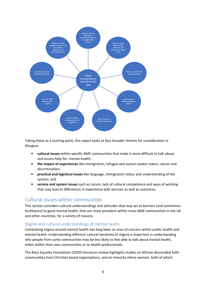

Taking these as a starting point, this report looks at four broader themes for consideration in Glasgow:

- cultural issues within specific BME communities that make it more difficult to talk about, and access help for, mental health;
- the impact of experiences like immigration, refugee and asylum seeker status, racism and discrimination;
- practical and logistical issues like language, immigration status and understanding of the system; and
- service and system issues such as racism, lack of cultural competence and ways of working that may lead to differences in experience with services as well as outcomes.

# Cultural issues within communities

This section considers cultural understandings and attitudes that may act as barriers (and sometimes facilitators) to good mental health, that are more prevalent within many BME communities in the UK and other countries, for a variety of reasons.

## Stigma and cultural understandings of mental health

Combatting stigma around mental health has long been an area of concern within public health and mental health. Understanding different cultural iterations of stigma is important in understanding why people from some communities may be less likely to feel able to talk about mental health, either within their own communities or to health professionals.

The Race Equality Foundation (2020) literature review highlights studies on African-descended faith communities from Christian based organisations, and on minority ethnic women, both of which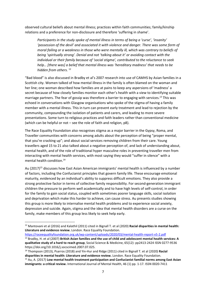observed cultural beliefs about mental illness; practices within faith communities; family/kinship relations and a preference for non-disclosure and therefore 'suffering in shame'.

Participants in the study spoke of mental illness in terms of being a 'curse', 'insanity' 'possession of the devil' and associated it with violence and danger. There was some form of moral failing or a weakness in those who were mentally ill, which was contrary to beliefs of being 'spiritually strong'. Denial and not 'talking about it' or avoiding contact with the individual or their family because of 'social stigma', contributed to the reluctance to seek help... [there was] a belief that mental illness was 'hereditary madness' that needs to be hidden from others.<sup>12</sup>

"Bad blood" is also discussed in Bradby et al's 2007 research into use of CAMHS by Asian families in a Scottish city. Women talked of how mental illness in the family is often blamed on the woman and her line; one woman described how families are at pains to keep any aspersions of 'madness' a secret because of how closely families monitor each other's health with a view to identifying suitable marriage partners. The fear of gossip was therefore a barrier to engaging with services.<sup>13</sup> This was echoed in conversations with Glasgow organisations who spoke of the stigma of having a family member with a mental illness. This in turn can prevent early treatment and lead to rejection by the community, compounding the isolation of patients and carers, and leading to more severe presentations. Some turn to religious practices and faith leaders rather than conventional medicine (which can be helpful or not – see the role of faith and religion, p8).

The Race Equality Foundation also recognises stigma as a major barrier in the Gypsy, Roma, and Traveller communities with concerns among adults about the perception of being "proper mental, that you're cracking up"; and about social services removing children from their care. Young travellers aged 15 to 21 also talked about a negative perception of, and lack of understanding about, mental health, and of the role of traditional hyper masculine roles in preventing traveller men from interacting with mental health services, with most saying they would "suffer in silence" with a mental health condition.<sup>14</sup>

Au (2017)<sup>15</sup> discusses how East Asian American immigrants' mental health is influenced by a number of factors, including the Confucianist principles that govern family life. These encourage emotional maturity, evidenced by an individual's ability to suppress difficult emotions. They also provide a strong protective factor in terms of collective family responsibility. For second-generation immigrant children the pressure to perform well academically and to have high levels of self-control, in order for the family to gain social status, coupled with sometimes poorer language skills, social isolation and deprivation which make this harder to achieve, can cause stress. Au presents studies showing this group is more likely to internalise mental health problems and to experience social anxiety, depression and suicide. Again, stigma and the idea that mental health disorders are a curse on the family, make members of this group less likely to seek help early.

https://raceequalityfoundation.org.uk/wp-content/uploads/2020/03/mental-health-report-v5-2.pdf

 $\overline{a}$ 

 $12$  Mantovani et al (2016) and Kalathil (2011) cited in Bignall T. et al (2020) Racial disparities in mental health: Literature and evidence review. London. Race Equality Foundation.

<sup>&</sup>lt;sup>13</sup> Bradby, H. et al (2007) British Asian families and the use of child and adolescent mental health services: A qualitative study of a hard to reach group, Social Science & Medicine, 65(12): pp2413-2424 ISSN 0277-9536 https://doi.org/10.1016/j.socscimed.2007.07.025.

<sup>&</sup>lt;sup>14</sup> Thompson (2013), Psarros (2018) and Yin-Hur and Ridge (2011) cited in Bignall T. et al (2020) Racial disparities in mental health: Literature and evidence review. London. Race Equality Foundation.

 $15$  Au, A. (2017) Low mental health treatment participation and Confucianist familial norms among East Asian immigrants: a critical review. International Journal of Mental Health, 46 (1) pp. 1-17. ISSN 0020-7411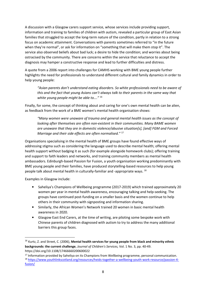A discussion with a Glasgow carers support service, whose services include providing support, information and training to families of children with autism, revealed a particular group of East Asian families that struggled to accept the long-term nature of the condition, partly in relation to a strong focus on academic attainment. Conversations with parents sometimes referred to "in the future when they're normal", or ask for information on "something that will make them stop it". The service also observed beliefs about bad luck; a desire to hide the condition; and worries about being ostracised by the community. There are concerns within the service that reluctance to accept the diagnosis may hamper a constructive response and lead to further difficulties and distress.

A quote from a 2006 report into challenges for CAMHS working with BME young people further highlights the need for professionals to understand different cultural and family dynamics in order to help young people:

"Asian parents don't understand eating disorders. So white professionals need to be aware of this and the fact that young Asians can't always talk to their parents in the same way that white young people might be able to...."<sup>16</sup>

Finally, for some, the concept of thinking about and caring for one's own mental health can be alien, as feedback from the work of a BME women's mental health organisation shows:

"Many women were unaware of trauma and general mental health issues as the concept of looking after themselves are often non-existent in their communities. Many BAME women are unaware that they are in domestic violence/abusive situation[s], [and] FGM and Forced Marriage and their side effects are often normalised."<sup>17</sup>

Organisations specialising in the mental health of BME groups have found effective ways of addressing stigma such as considering the language used to describe mental health; offering mental health support without badging it as such (for example alongside homework clubs); offering training and support to faith leaders and networks, and training community members as mental health ambassadors. Edinburgh-based Passion for Fusion, a youth organisation working predominantly with BME young people and their families, have produced storytelling-based resources to help young people talk about mental health in culturally-familiar and -appropriate ways. <sup>18</sup>

Examples in Glasgow include:

 $\overline{a}$ 

- Saheliya's Champions of Wellbeing programme (2017-2019) which trained approximately 20 women per year in mental health awareness, encouraging talking and help-seeking. The groups have continued post-funding on a smaller basis and the women continue to help others in their community with signposting and information sharing.
- Similarly, the African Women's Network trained 20 women in basic mental health awareness in 2020.
- Glasgow East End Carers, at the time of writing, are piloting some bespoke work with Chinese parents of children diagnosed with autism to try to address the many additional barriers this group faces.

<sup>&</sup>lt;sup>16</sup> Kurtz, Z. and Street, C. (2006), Mental health services for young people from black and minority ethnic backgrounds: the current challenge, Journal of Children's Services, Vol. 1 No. 3, pp. 40-49. https://doi.org/10.1108/17466660200600022

<sup>&</sup>lt;sup>17</sup> Information provided by Saheliya on its Champions from Wellbeing programme, personal communication. <sup>18</sup> https://www.youthlinkscotland.org/resources/heids-together-a-wellbeing-youth-work-resource/passion-4 fusion/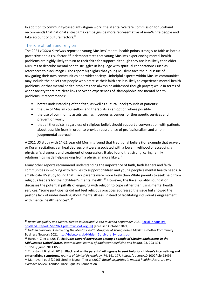In addition to community-based anti-stigma work, the Mental Welfare Commission for Scotland recommends that national anti-stigma campaigns be more representative of non-White people and take account of cultural factors.<sup>19</sup>

## The role of faith and religion

l

The 2021 Hidden Survivors report on young Muslims' mental health points strongly to faith as both a protective and a risk factor. <sup>20</sup> It demonstrates that young Muslims experiencing mental health problems are highly likely to turn to their faith for support, although they are less likely than older Muslims to describe mental health struggles in language with spiritual connotations (such as references to black magic). The report highlights that young Muslims face the dual issue of navigating their own communities and wider society. Unhelpful aspects within Muslim communities may include the belief that people who practise their faith are less likely to experience mental health problems, or that mental health problems can always be addressed though prayer; while in terms of wider society there are clear links between experiences of islamophobia and mental health problems. It recommends:

- better understanding of the faith, as well as cultural, backgrounds of patients;
- the use of Muslim counsellors and therapists as an option where possible;
- the use of community assets such as mosques as venues for therapeutic services and prevention work;
- that all therapists, regardless of religious belief, should support a conversation with patients about possible fears in order to provide reassurance of professionalism and a nonjudgemental approach.

A 2011 US study with 14-21 year old Muslims found that traditional beliefs (for example that prayer, or Koran recitation, can heal depression) were associated with a lower likelihood of accepting a physician's diagnosis and treatment of depression. It also found that strong, caring family relationships made help-seeking from a physician more likely.  $21$ 

Many other reports recommend understanding the importance of faith, faith leaders and faith communities in working with families to support children and young people's mental health needs. A small-scale US study found that Black parents were more likely than White parents to seek help from religious leaders for their children's mental health.<sup>22</sup> However, the Race Equality Foundation discusses the potential pitfalls of engaging with religion to cope rather than using mental health services: "some participants did not feel religious practices addressed the issue but showed the pastor's lack of understanding about mental illness, instead of facilitating individual's engagement with mental health services". <sup>23</sup>

 $19$  Racial Inequality and Mental Health in Scotland: A call to action September 2021 Racial-Inequality-Scotland\_Report\_Sep2021.pdf (mwcscot.org.uk) [accessed October 2021]

 $\frac{20}{20}$  Hidden Survivors: Uncovering the Mental Health Struggles of Young British Muslims - Better Community Business Network 2021 http://bcbn.org.uk/Hidden\_Survivors\_Synopsis.pdf

 $21$  Haroun, Z. et al (2011). Attitudes toward depression among a sample of Muslim adolescents in the Midwestern United States. International journal of adolescent medicine and health. 23. 293-301. 10.1515/ijamh.2011.058.

<sup>&</sup>lt;sup>22</sup> Thurston, I.B. et al (2018). Black and white parents' willingness to seek help for children's internalizing and externalizing symptoms. Journal of Clinical Psychology, 74, 161-177. https://doi.org/10.1002/jclp.22495 <sup>23</sup> Mantovani et al (2016) cited in Bignall T. et al (2020) Racial disparities in mental health: Literature and evidence review. London. Race Equality Foundation.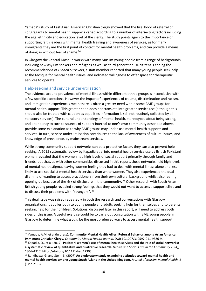Yamada's study of East Asian American Christian clergy showed that the likelihood of referral of congregants to mental health supports varied according to a number of intersecting factors including the age, ethnicity and education level of the clergy. The study points again to the importance of supporting faith leaders with mental health training and awareness of services, as for many immigrants they are the first point of contact for mental health problems, and can provide a means of doing so without fear of shame.<sup>24</sup>

In Glasgow the Central Mosque works with many Muslim young people from a range of backgrounds including new asylum seekers and refugees as well as third generation UK citizens. Echoing the recommendations of Hidden Survivors, a staff member reported that many young people seek help at the Mosque for mental health issues, and indicated willingness to offer space for therapeutic services to operate.

#### Help-seeking and service under-utilisation

 $\overline{a}$ 

The evidence around prevalence of mental illness within different ethnic groups is inconclusive with a few specific exceptions. However the impact of experiences of trauma, discrimination and racism, and immigration experiences mean there is often a greater need within some BME groups for mental health support. This greater need does not translate into greater service use (although this should also be treated with caution as equalities information is still not routinely collected by all statutory services). The cultural understandings of mental health, stereotypes about being strong, and a tendency to turn to sources of support internal to one's own community described above, provide some explanation as to why BME groups may under-use mental health supports and services. In turn, service under-utilisation contributes to the lack of awareness of cultural issues, and knowledge of prevalence, by mainstream services.

While strong community support networks can be a protective factor, they can also prevent helpseeking. A 2015 systematic review by Kapadia et al into mental health service use by British Pakistani women revealed that the women had high levels of social support primarily through family and friends, but that, as with other communities discussed in this report, these networks held high levels of mental health stigma, leaving women feeling they had to deal with mental illness alone and less likely to use specialist mental health services than white women. They also experienced the dual dilemma of wanting to access practitioners from their own cultural background whilst also fearing opening up because of the risk of disclosure in the community.<sup>25</sup> Other research with South Asian British young people revealed strong feelings that they would not want to access a support clinic and to discuss their problems with "strangers". <sup>26</sup>

This dual issue was raised repeatedly in both the research and conversations with Glasgow organisations. It applies both to young people and adults seeking help for themselves and to parents seeking help for their children. Solutions, discussed later in this report, will need to address both sides of this issue. A useful exercise could be to carry out consultation with BME young people in Glasgow to determine what would be the most preferred ways to access mental health support.

<sup>&</sup>lt;sup>24</sup> Yamada, A.M. et al (in press). Community Mental Health Allies: Referral Behavior among Asian American Immigrant Christian Clergy. Community Mental Health Journal. DOI: 10.1007/s10597-011-9386-9.

 $25$  Kapadia, D., et al (2017). Pakistani women's use of mental health services and the role of social networks: a systematic review of quantitative and qualitative research. Health and Social Care in the Community 25(4), 1304–1317. https://doi.org/10.1111/hsc.12305

 $26$  Randhawa, G. and Stein, S. (2007) An exploratory study examining attitudes toward mental health and mental health services among young South Asians in the United Kingdom, Journal of Muslim Mental Health, 2 (1)pp.21-37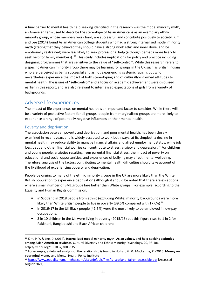A final barrier to mental health help seeking identified in the research was the model minority myth, an American term used to describe the stereotype of Asian Americans as an exemplary ethnic minority group, whose members work hard, are successful, and contribute positively to society. Kim and Lee (2014) found Asian American college students who had a strong internalised model minority myth (stating that they believed they should have a strong work ethic and inner drive, and be emotionally restrained) were less likely to seek professional help (although perhaps more likely to seek help for family members).  $^{27}$  This study includes implications for policy and practice including designing programmes that are sensitive to the value of "self-control". While this research refers to a specific American minority group there may be learning for groups in the UK such as British Indians who are perceived as being successful and as not experiencing systemic racism, but who nevertheless experience the impact of both stereotyping and of culturally-informed attitudes to mental health. The issues of "self-control" and a focus on academic achievement were discussed earlier in this report, and are also relevant to internalised expectations of girls from a variety of backgrounds.

# Adverse life experiences

The impact of life experiences on mental health is an important factor to consider. While there will be a variety of protective factors for all groups, people from marginalised groups are more likely to experience a range of potentially negative influences on their mental health.

## Poverty and deprivation

l

The association between poverty and deprivation, and poor mental health, has been closely examined in recent years and is widely accepted to work both ways: at its simplest, a decline in mental health may reduce ability to manage financial affairs and affect employment status; while job loss, debt and other financial worries can contribute to stress, anxiety and depression.<sup>28</sup> For children and young people, anxieties resulting from parental financial stress, the impact of poverty on educational and social opportunities, and experiences of bullying may affect mental wellbeing. Therefore, analysis of the factors contributing to mental health difficulties should take account of the likelihood of experiencing poverty and deprivation.

People belonging to many of the ethnic minority groups in the UK are more likely than the White British population to experience deprivation (although it should be noted that there are exceptions where a small number of BME groups fare better than White groups). For example, according to the Equality and Human Rights Commission,

- in Scotland in 2018 people from ethnic (excluding White) minority backgrounds were more likely than White British people to live in poverty (39.6% compared with 17.6%)  $^{29}$
- in 2016/17 in the UK Black people (41.5%) were the most likely to be employed in low-pay occupations;
- 3 in 10 children in the UK were living in poverty (2015/16) but this figure rises to 1 in 2 for Pakistani, Bangladeshi and Black African children;

<sup>&</sup>lt;sup>27</sup> Kim, P. Y. & Lee, D. (2014). Internalized model minority myth, Asian values, and help-seeking attitudes among Asian American students. Cultural Diversity and Ethnic Minority Psychology, 20, 98-106. http://dx.doi.org/10.1037/a0033351

<sup>&</sup>lt;sup>28</sup> For example, a detailed analysis of the relationship is found in Holkar, M. &, Mackenzie, P. (2016) Money on your mind Money and Mental Health Policy Institute

<sup>&</sup>lt;sup>29</sup> https://www.equalityhumanrights.com/sites/default/files/is\_scotland\_fairer\_accessible.pdf [Accessed August 2021]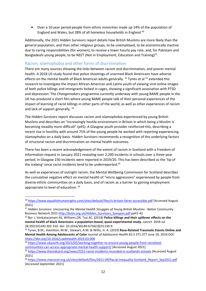• Over a 10 year period people from ethnic minorities made up 14% of the population of England and Wales, but 28% of all homeless households in England <sup>30</sup>

Additionally, the 2021 Hidden Survivors report details how British Muslims are more likely than the general population, and than other religious groups, to be unemployed, to be economically inactive due to caring responsibilities (for women), to receive a lower hourly pay rate, and, for Pakistani and Bangladeshi young people, to be NEET (Not in Employment, Education and Training) $31$ .

## Racism, Islamophobia and other forms of discrimination

l

There are many sources showing the links between racism and discrimination, and poorer mental health. A 2018 US study found that police shootings of unarmed Black Americans have adverse effects on the mental health of Black American adults generally.  $32$  Tynes et al  $33$  extended this research to investigate the impact African American and Latinx youth of viewing viral online images of both police killings and immigrants locked in cages, showing a significant association with PTSD and depression. The Changemakers programme currently underway with young BAME people in the UK has produced a short film where young BAME people talk of their personal experiences of the impact of learning of racist killings in other parts of the world, as well as other experiences of racism and lack of support generally. 34

The Hidden Survivors report discusses racism and islamophobia experienced by young British Muslims and describes an "increasingly hostile environment in Britain in which being a Muslim is becoming steadily more difficult" (p45). A Glasgow youth provider reinforced this, describing a recent rise in hostility with around 75% of the young people he worked with reporting experiencing islamophobia on a daily basis. Hidden Survivors recommends a recognition of the underlying factors of structural racism and discrimination on mental health outcomes.

There has been a recent acknowledgement of the extent of racism in Scotland with a Freedom of Information request in January 2021 revealing over 2,200 incidents in schools over a three-year period; in Glasgow 230 incidents were reported in 2019/20. This has been described as the 'tip of the iceberg' since racist incidents tend to be underreported. $35$ 

As well as experiences of outright racism, the Mental Wellbeing Commission for Scotland describes the cumulative negative effect on mental health of "micro aggressions" experienced by people from diverse ethnic communities on a daily basis, and of racism as a barrier to gaining employment appropriate to level of education. <sup>36</sup>

<sup>30</sup> https://www.equalityhumanrights.com/sites/default/files/is-britain-fairer-accessible.pdf [Accessed August 2021]

<sup>&</sup>lt;sup>31</sup> Hidden Survivors: Uncovering the Mental Health Struggles of Young British Muslims - Better Community Business Network 2021 http://bcbn.org.uk/Hidden\_Survivors\_Synopsis.pdf pp41-42

<sup>&</sup>lt;sup>32</sup> Bor J, Venkataramani AS, Williams DR, Tsai AC. (2018) Police killings and their spillover effects on the mental health of black Americans: a population-based, quasi-experimental study. Lancet. 2018 Jul 28;392(10144):302-310. doi: 10.1016/S0140-6736(18)31130-9.

<sup>33</sup> Tynes, B.M., Hamilton, M.W., Stewart, A.M. & Willis, H. A. (2019) Race-Related Traumatic Events Online and Mental Health Among Adolescents of Color Journal of Adolescent Health 65:3 371-377 June 10, 2019 DOI: https://doi.org/10.1016/j.jadohealth.2019.03.006

<sup>34</sup> https://www.ukyouth.org/2021/05/working-together-to-ensure-young-people-from-racialisedcommunities-can-access-appropriate-mental-health-support/ [Accessed August 2021]

<sup>35</sup> https://www.theredcard.org/news/2251-racist-incidents-recorded-in-scotlands-schools [Accessed August 2021]

<sup>36</sup> https://www.mwcscot.org.uk/sites/default/files/2021-09/Racial-Inequality-Scotland\_Report\_Sep2021.pdf [Accessed September 2021]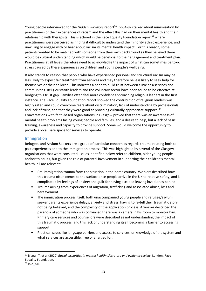Young people interviewed for the Hidden Survivors report<sup>20</sup> (pp84-87) talked about minimisation by practitioners of their experiences of racism and the effect this had on their mental health and their relationship with therapists. This is echoed in the Race Equality Foundation report<sup>37</sup> where practitioners were perceived as finding it difficult to understand the minority ethnic experience, and unwilling to engage with or hear about racism its mental health impact. For this reason, some patients wanted to be matched with someone from their own background as they believed there would be cultural understanding which would be beneficial to their engagement and treatment plan. Practitioners at all levels therefore need to acknowledge the impact of what can sometimes be toxic stress caused by these experiences on children and young people's wellbeing.

It also stands to reason that people who have experienced personal and structural racism may be less likely to expect fair treatment from services and may therefore be less likely to seek help for themselves or their children. This indicates a need to build trust between clinicians/services and communities. Religious/faith leaders and the voluntary sector have been found to be effective at bridging this trust gap. Families often feel more confident approaching religious leaders in the first instance. The Race Equality Foundation report showed the contribution of religious leaders was highly rated and could overcome fears about discrimination, lack of understanding by professionals and lack of trust, and that they were good at providing culturally appropriate support. 38 Conversations with faith-based organisations in Glasgow proved that there was an awareness of mental health problems facing young people and families, and a desire to help, but a lack of basic training, awareness and capacity to provide support. Some would welcome the opportunity to provide a local, safe space for services to operate.

## Immigration

Refugees and Asylum Seekers are a group of particular concern as regards trauma relating both to past experiences and to the immigration process. This was highlighted by several of the Glasgow organisations that were consulted. Issues identified below refer to children, older young people and/or to adults, but given the role of parental involvement in supporting their children's mental health, all are relevant:

- Pre-immigration trauma from the situation in the home country. Workers described how this trauma often comes to the surface once people arrive in the UK to relative safety, and is complicated by feelings of anxiety and guilt for having escaped leaving loved ones behind.
- Trauma arising from experiences of migration, trafficking and associated abuse, loss and bereavement.
- The immigration process itself: both unaccompanied young people and refugee/asylum seeker parents experience delays, anxiety and stress, having to re-tell their traumatic story, not being believed, and the complexity of the application process. A worker described the paranoia of someone who was convinced there was a camera in his room to monitor him. Primary care services and counsellors were described as not understanding the impact of this traumatic process, and this lack of understanding itself becoming a barrier to accessing support.
- Practical issues like language barriers and access to services, or knowledge of the system and what services are accessible, free or charged for.

 $\overline{a}$ 

<sup>&</sup>lt;sup>37</sup> Bignall T. et al (2020) Racial disparities in mental health: Literature and evidence review. London. Race Equality Foundation.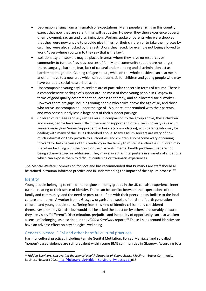- Depression arising from a mismatch of expectations. Many people arriving in this country expect that now they are safe, things will get better. However they then experience poverty, unemployment, racism and discrimination. Workers spoke of parents who were shocked that they were now unable to provide nice things for their children or to take them places by car. They were also shocked by the restrictions they faced, for example not being allowed to work: "Everywhere you turn to they say that is the law".
- Isolation: asylum seekers may be placed in areas where they have no resources or community to turn to. Previous sources of family and community support are no longer there. Language barriers, fear, lack of cultural understanding and discrimination act as barriers to integration. Gaining refugee status, while on the whole positive, can also mean another move to a new area which can be traumatic for children and young people who may have built up a social network at school.
- Unaccompanied young asylum seekers are of particular concern in terms of trauma. There is a comprehensive package of support around most of these young people in Glasgow in terms of good quality accommodation, access to therapy, and an allocated social worker. However there are gaps including young people who arrive above the age of 18, and those who arrive unaccompanied under the age of 18 but are later reunited with their parents, and who consequently lose a large part of their support package.
- Children of refugees and asylum seekers. In comparison to the group above, these children and young people have very little in the way of support and often live in poverty (as asylum seekers on Asylum Seeker Support and in basic accommodation), with parents who may be dealing with many of the issues described above. Many asylum seekers are wary of how much information they provide to authorities, and children also become wary of coming forward for help because of this tendency in the family to mistrust authorities. Children may therefore be living with their own or their parents' mental health problems that are not being acknowledged or addressed. They may also act as interpreters in a variety of situations which can expose them to difficult, confusing or traumatic experiences.

The Mental Welfare Commission for Scotland has recommended that Primary Care staff should all be trained in trauma-informed practice and in understanding the impact of the asylum process.<sup>19</sup>

## Identity

 $\overline{a}$ 

Young people belonging to ethnic and religious minority groups in the UK can also experience inner turmoil relating to their sense of identity. There can be conflict between the expectations of the family and community, and the need or pressure to fit in with their peers and assimilate to the local culture and norms. A worker from a Glasgow organisation spoke of third and fourth generation children and young people still suffering from this kind of identity crisis; many considered themselves primarily Scottish but would still be asked the question by others, presumably because they are visibly "different". Discrimination, prejudice and inequality of opportunity can also weaken a sense of belonging, as described in the Hidden Survivors report.<sup>39</sup> These issues around identity can have an adverse effect on psychological wellbeing.

## Gender violence, FGM and other harmful cultural practices

Harmful cultural practices including Female Genital Mutilation, Forced Marriage, and so-called 'honour'-based violence are still prevalent within some BME communities in Glasgow. According to a

<sup>&</sup>lt;sup>39</sup> Hidden Survivors: Uncovering the Mental Health Struggles of Young British Muslims - Better Community Business Network 2021 http://bcbn.org.uk/Hidden\_Survivors\_Synopsis.pdf p38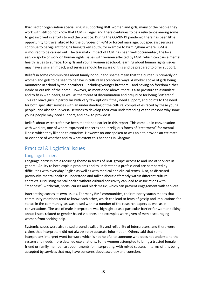third sector organisation specialising in supporting BME women and girls, many of the people they work with still do not know that FGM is illegal, and there continues to be a reluctance among some to get involved in efforts to end the practice. During the COVID-19 pandemic there has been little opportunity to travel abroad for the purposes of FGM or forced marriage, but specialist services continue to be vigilant for girls being taken south, for example to Birmingham where FGM is rumoured to be carried out. The traumatic impact of FGM has been well documented; the local service spoke of work on human rights issues with women affected by FGM, which can cause mental health issues to surface. For girls and young women at school, learning about human rights issues may have a similar impact, and services should be aware of this and be prepared to offer support.

Beliefs in some communities about family honour and shame mean that the burden is primarily on women and girls to be seen to behave in culturally acceptable ways. A worker spoke of girls being monitored in school by their brothers – including younger brothers – and having no freedom either inside or outside of the home. However, as mentioned above, there is also pressure to assimilate and to fit in with peers, as well as the threat of discrimination and prejudice for being "different". This can leave girls in particular with very few options if they need support, and points to the need for both specialist services with an understanding of the cultural complexities faced by these young people; and also for universal services to develop their own understanding of the reasons why some young people may need support, and how to provide it.

Beliefs about witchcraft have been mentioned earlier in this report. This came up in conversation with workers, one of whom expressed concerns about religious forms of "treatment" for mental illness which they likened to exorcism. However no-one spoken to was able to provide an estimate or evidence of whether and to what extent this happens in Glasgow.

# Practical & Logistical issues

#### Language barriers

Language barriers are a recurring theme in terms of BME groups' access to and use of services in general. Ability to both explain problems and to understand a professional are hampered by difficulties with everyday English as well as with medical and clinical terms. Also, as discussed previously, mental health is understood and talked about differently within different cultural contexts. Discussing mental health without cultural sensitivity can lead to associations with "madness", witchcraft, sprits, curses and black magic, which can prevent engagement with services.

Interpreting carries its own issues. For many BME communities, their minority status means that community members tend to know each other, which can lead to fears of gossip and implications for status in the community, as was raised within a number of the research papers as well as in conversations. The use of male interpreters was highlighted as a particular barrier for women talking about issues related to gender based violence, and examples were given of men discouraging women from seeking help.

Systemic issues were also raised around availability and reliability of interpreters, and there were claims that interpreters did not always relay accurate information. Others said that some interpreters interpret word for word which is not helpful to someone who does not understand the system and needs more detailed explanations. Some women attempted to bring a trusted female friend or family member to appointments for interpreting, with mixed success in terms of this being accepted by services that may have concerns about accuracy and coercion.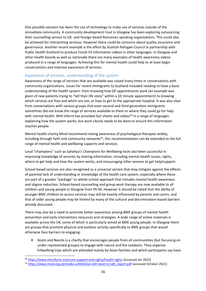One possible solution has been the use of technology to make use of services outside of the immediate community. A community development trust in Glasgow has been exploring outsourcing their counselling service to UK- and foreign-based Romanian speaking organisations. This could also be achieved for interpreting services. However there could be concerns about quality assurance and governance. Another recent example is the effort by Scottish Refugee Council in partnership with Public Health Scotland to produce Covid-19 information videos in other languages. In Glasgow and other health boards as well as nationally there are many examples of health awareness videos produced in a range of languages. Achieving this for mental health could help to at least begin conversations and improve awareness of services.

## Awareness of services, understanding of the system

Awareness of the range of services that are available was raised many times in conversations with community organisations. Issues for recent immigrants to Scotland included needing to have a basic understanding of the health system: from knowing how GP appointments work (an example was given of new patients trying to "tell their life story" within a 10 minute appointment) to knowing which services are free and which are not, or how to get to the appropriate hospital. It was also clear from conversations with various groups that even second and third generation immigrants sometimes did not know the range of services available to them or where they could go for help with mental health. NHS Inform has provided fact sheets and videos<sup>40</sup> in a range of languages explaining how the system works, but work clearly needs to be done to ensure this information reaches people.

Mental health charity Mind recommend raising awareness of psychological therapies widely, including through faith and community networks<sup>41</sup>; this recommendation can be extended to the full range of mental health and wellbeing supports and services.

Local "champions" such as Saheliya's Champions for Wellbeing have also been successful in improving knowledge of services by sharing information, including mental health issues, rights, where to get help and how the system works, and encouraging other women to get help/support.

School-based services are also recognised as a universal service that may mitigate against the effects of parental lack of understanding or knowledge of the health care system, especially where these are part of a greater "package" or whole-school approach that includes mental health awareness and stigma reduction. School-based counselling and group work therapy are now available to all children and young people in Glasgow from P6-S6. However it should be noted that the ability of younger BME children to access services may still be heavily influenced by parents and carers, and that of older young people may be limited by many of the cultural and discrimination-based barriers already discussed.

There may also be a need to promote better awareness among BME groups of mental health prevention and early intervention resources and strategies. A wide range of online materials is available across the UK, some of which is particularly aimed at BME young people. In Glasgow there are groups that promote physical and outdoor activity specifically to BME groups that would otherwise face barriers to engaging:

• Boots and Beards is a charity that encourages people from all communities (but focussing on under-represented groups) to engage with nature and the outdoors. They organise hillwalking trips which are attended mainly by Asian families and which participants say have

 $\overline{\phantom{0}}$ 

<sup>40</sup> https://www.nhsinform.scot/care-support-and-rights/health-rights [accessed Jan 2022]

<sup>41</sup> https://www.mind.org.uk/media-a/4426/we-still-need-to-talk\_report.pdf [accessed October 2021]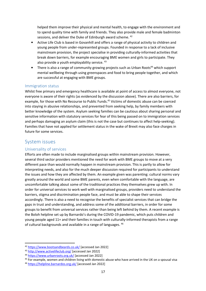helped them improve their physical and mental health, to engage with the environment and to spend quality time with family and friends. They also provide male and female badminton sessions, and deliver the Duke of Edinburgh award scheme. <sup>42</sup>

- Active Life Club is based in Govanhill and offers a range of physical activity to children and young people from under-represented groups. Founded in response to a lack of inclusive mainstream provision, the project specialise in providing culturally-informed activities that break down barriers, for example encouraging BME women and girls to participate. They also provide a youth employability service. <sup>43</sup>
- There is also a range of community growing projects such as Urban Roots<sup>44</sup> which support mental wellbeing through using greenspaces and food to bring people together, and which are successful at engaging with BME groups.

#### Immigration status

Whilst free primary and emergency healthcare is available at point of access to almost everyone, not everyone is aware of their rights (as evidenced by the discussion above). There are also barriers, for example, for those with No Recourse to Public Funds.<sup>45</sup> Victims of domestic abuse can be coerced into staying in abusive relationships, and prevented from seeking help, by family members with better knowledge of the system. Asylum seeking families can be cautious about sharing personal and sensitive information with statutory services for fear of this being passed on to immigration services and perhaps damaging an asylum claim (this is not the case but continues to affect help-seeking). Families that have not applied for settlement status in the wake of Brexit may also face charges in future for some services.

## System issues

l

#### Universality of services

Efforts are often made to include marginalised groups within mainstream provision. However, several third sector providers mentioned the need for work with BME groups to move at a very different pace than would normally happen in mainstream provision. This is partly to allow for interpreting needs, and also for the much deeper discussion required for participants to understand the issues and how they are affected by them. An example given was parenting: cultural norms vary greatly around the world and some BME parents, even when comfortable with the language, are uncomfortable talking about some of the traditional practices they themselves grew up with. In order for universal services to work well with marginalised groups, providers need to understand the barriers, stigma and discrimination people face, and must be able to shape their services accordingly. There is also a need to recognise the benefits of specialist services that can bridge the gaps in trust and understanding, and address some of the additional barriers, in order for some groups to benefit from universal services rather than being left behind by them. A recent example is the Boloh helpline set up by Barnardo's during the COVID-19 pandemic, which puts children and young people aged 11+ and their families in touch with culturally-informed therapists from a range of cultural backgrounds and available in a range of languages. <sup>46</sup>

<sup>42</sup> https://www.bootsandbeards.co.uk/ [accessed Jan 2022]

<sup>43</sup> http://www.activelifeclub.org/ [accessed Jan 2022]

<sup>44</sup> https://www.urbanroots.org.uk/ [accessed Jan 2022]

<sup>&</sup>lt;sup>45</sup> For example, women and children living with domestic abuse who have arrived in the UK on a spousal visa

<sup>46</sup> https://helpline.barnardos.org.uk/ [accessed Jan 2022]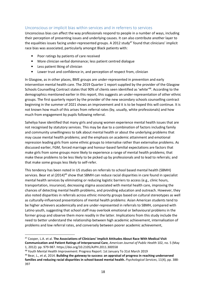## Unconscious or implicit bias within services and in referrers to services

Unconscious bias can affect the way professionals respond to people in a number of ways, including their perception of presenting issues and underlying causes. It can also contribute another layer to the equalities issues facing under-represented groups. A 2012 study<sup>47</sup> found that clinicians' implicit race bias was associated, particularly amongst Black patients with:

- Poor ratings by patients of care received
- More clinician verbal dominance; less patient centred dialogue
- Less patient liking of clinician
- Lower trust and confidence in, and perception of respect from, clinician

In Glasgow, as in other places, BME groups are under-represented in prevention and early intervention mental health care. The 2019 Quarter 1 report supplied by the provider of the Glasgow Schools Counselling Contract states that 90% of clients seen identified as 'white'<sup>48</sup>. According to the demographics mentioned earlier in this report, this suggests an under-representation of other ethnic groups. The first quarterly report by the provider of the new secondary schools counselling contract beginning in the summer of 2021 shows an improvement and it is to be hoped this will continue. It is not known how much of this arises from referral rates (by, usually, white professionals) and how much from engagement by pupils following referral.

Saheliya have identified that many girls and young women experience mental health issues that are not recognised by statutory services. This may be due to a combination of factors including family and community unwillingness to talk about mental health or about the underlying problems that may cause mental health problems; and the emphasis on academic attainment and emotional repression leading girls from some ethnic groups to internalise rather than externalise problems. As discussed earlier, FGM, forced marriage and honour-based familial expectations are factors that make girls from some groups more likely to experience a range of mental health problems; that make these problems to be less likely to be picked up by professionals and to lead to referrals; and that make some groups less likely to self-refer.

This tendency has been noted in US studies on referrals to school based mental health (SBMH) services. Bear et al (2014)<sup>49</sup> show that SBMH can reduce racial disparities in care found in specialist mental health services by eliminating or reducing logistic barriers to access (e.g., clinic hours, transportation, insurance), decreasing stigma associated with mental health care, improving the chances of detecting mental health problems, and providing education and outreach. However, they also noted disparities in referrals across ethnic minority groups based on cultural stereotypes as well as culturally-influenced presentations of mental health problems: Asian American students tend to be higher achievers academically and are under-represented in referrals to SBMH, compared with Latino youth, suggesting that school staff may overlook emotional or behavioural problems in the former group and observe them more readily in the latter. Implications from this study include the need to better understand the relationship between high academic achievement, internalisation of problems and low referral rates, and conversely between poorer academic achievement,

l

<sup>47</sup> Cooper, L.A. et al. The Associations of Clinicians' Implicit Attitudes About Race With Medical Visit Communication and Patient Ratings of Interpersonal Care, American Journal of Public Health 102, no. 5 (May 1, 2012): pp. 979-987. https://doi.org/10.2105/AJPH.2011.300558

<sup>48</sup> Youth Mental Health Improvement: Progress Report: 1st January To 31st March 2019

 $49$  Bear, L., et al, 2014. Building the gateway to success: an appraisal of progress in reaching underserved families and reducing racial disparities in school-based mental health. Psychological Services, 11(4), pp. 388-397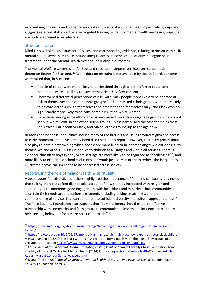externalising problems and higher referral rates. It warns of an unmet need in particular groups and suggests referring staff could receive targeted training to identify mental health needs in groups that are under-represented in referrals.

## Structural racism

 $\overline{a}$ 

Mind UK's website lists a number of issues, and corresponding evidence, relating to racism within UK mental health services. <sup>50</sup> These include unequal access to services; inequality in diagnosis; unequal treatment under the Mental Health Act; and inequality in outcomes.

The Mental Welfare Commission for Scotland reported in September 2021 on mental health detention figures for Scotland. <sup>19</sup> While data on restraint is not available by Health Board, concerns were raised that, in Scotland:

- People of colour were more likely to be detained through a less preferred route, and detentions were less likely to have Mental Health Officer consent;
- There were differential perceptions of risk, with Black people more likely to be deemed at risk to themselves than other ethnic groups; Black and Mixed ethnic groups were more likely to be considered a risk to themselves and others than to themselves only; and Black women significantly more likely to be considered a risk than White women;
- Detentions among some ethnic groups are skewed towards younger age groups, which is not seen in White Scottish and other British groups. This is particularly the case for males from the African, Caribbean or Black, and Mixed, ethnic groups, up to the age of 24.

Reasons behind these inequalities include many of the barriers and issues around stigma and access to early treatment that have already been discussed in this report. However, racism by professionals also plays a part in determining which people are more likely to be deemed angry, violent or a risk to themselves and others. This issue applies to children at all stages and within all services. There is evidence that Black boys in early years settings are more likely to be regarded as "challenging"<sup>51</sup>, and more likely to experience school exclusions and youth justice. <sup>52</sup> In order to redress the inequalities illustrated above, racism needs to be addressed across society.

## Recognising the role of religion, faith & spirituality

A 2014 report for Mind UK and others highlighted the importance of faith and spirituality and noted that talking therapists often did not take account of how therapy interacted with religion and spirituality. It recommends good engagement with local black and minority ethnic communities to ascertain their needs around various treatments, including talking treatments; and the commissioning of services that can demonstrate sufficient diversity and cultural appropriateness. <sup>53</sup> The Race Equality Foundation also suggests that "commissioners should establish effective partnership with community and faith groups to communicate, inform and influence appropriate help seeking behaviour for a more holistic approach." <sup>54</sup>

<sup>50</sup> https://www.mind.org.uk/about-us/our-strategy/becoming-a-truly-anti-racist-organisation/facts-andfigures/

<sup>51</sup> https://news.yale.edu/2016/09/27/implicit-bias-may-explain-high-preschool-expulsion-rates-black-children

<sup>&</sup>lt;sup>52</sup> In Scotland in 2018/19, the Black Carribean, African and Roma pupils were the most likely groups to be excluded from school: https://www.gov.scot/publications/school-exclusion-statistics/

<sup>&</sup>lt;sup>53</sup> Ethnic Inequalities in Mental Health: Promoting Lasting Positive Change Lankelly Chase Foundation, Mind, The Afiya Trust and Centre for Mental Health (2014) Ethnic-Inequality-in-Mental-Health-Confluence-Full-Report-March2014.pdf (lankellychase.org.uk)

<sup>&</sup>lt;sup>54</sup> Bignall T. et al (2020) Racial disparities in mental health: Literature and evidence review. London. Race Equality Foundation. pp29-30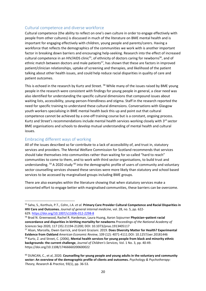#### Cultural competence and diverse workforce

Cultural competence (the ability to reflect on one's own culture in order to engage effectively with people from other cultures) is discussed in much of the literature on BME mental health and is important for engaging effectively with children, young people and parents/carers. Having a workforce that reflects the demographics of the communities we work with is another important factor in breaking down barriers and encouraging help-seeking. Research into the effect of increased cultural competence in an HIV/AIDS clinic<sup>55</sup>, of ethnicity of doctors caring for newborns<sup>56</sup>, and of ethnic match between doctors and male patients<sup>57</sup>, has shown that these are factors in improved patient/clinician relationships, uptake of screening and therapies, and likelihood of the patient talking about other health issues, and could help reduce racial disparities in quality of care and patient outcomes.

This is echoed in the research by Kurtz and Street. <sup>58</sup> While many of the issues raised by BME young people in the research were consistent with findings for young people in general, a clear need was also identified for understanding the specific cultural dimensions that compound issues about waiting lists, accessibility, young-person-friendliness and stigma. Staff in the research reported the need for specific training to understand these cultural dimensions. Conversations with Glasgow youth workers specialising in BME mental health back this up and point out that cultural competence cannot be achieved by a one-off training course but is a constant, ongoing process. Kurtz and Street's recommendations include mental health services working closely with 3<sup>rd</sup> sector BME organisations and schools to develop mutual understanding of mental health and cultural issues.

#### Embracing different ways of working

 $\overline{\phantom{0}}$ 

All of the issues described so far contribute to a lack of accessibility of, and trust in, statutory services and providers. The Mental Welfare Commission for Scotland recommends that services should take themselves into communities rather than waiting for so-called "hard to reach" communities to come to them, and to work with third sector organisations, to build trust and understanding. <sup>59</sup> A 2020 study <sup>60</sup> into the demographic profile of users of community and voluntary sector counselling services showed these services were more likely than statutory and school based services to be accessed by marginalised groups including BME groups.

There are also examples within the literature showing that when statutory services make a concerted effort to engage better with marginalised communities, these barriers can be overcome.

<sup>&</sup>lt;sup>55</sup> Saha, S., Korthuis, P.T., Cohn, J.A. et al. Primary Care Provider Cultural Competence and Racial Disparities in HIV Care and Outcomes. Journal of general internal medicine, vol. 28, no. 5, pp. 622- 629. https://doi.org/10.1007/s11606-012-2298-8

<sup>56</sup> Brad N. Greenwood, Rachel R. Hardeman, Laura Huang, Aaron Sojourner Physician–patient racial concordance and disparities in birthing mortality for newborns Proceedings of the National Academy of Sciences Sep 2020, 117 (35) 21194-21200; DOI: 10.1073/pnas.1913405117

<sup>57</sup> Alsan, Marcella, Owen Garrick, and Grant Graziani. 2019. Does Diversity Matter for Health? Experimental Evidence from Oakland American Economic Review, 109 (12): 4071-4111.DOI: 10.1257/aer.20181446 <sup>58</sup> Kurtz, Z. and Street, C. (2006), Mental health services for young people from black and minority ethnic backgrounds: the current challenge, Journal of Children's Services, Vol. 1 No. 3, pp. 40-49. https://doi.org/10.1108/17466660200600022

<sup>60</sup> DUNCAN, C., et al, 2020. Counselling for young people and young adults in the voluntary and community sector: An overview of the demographic profile of clients and outcomes. Psychology & Psychotherapy: Theory, Research & Practice, 93(1), pp. 36-53.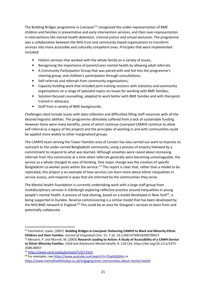The Building Bridges programme in Liverpool  $61$  recognised the under-representation of BME children and families in preventative and early intervention services, and their over-representation in interventions like mental health detention, criminal justice and school exclusion. The programme was a collaboration between the NHS trust and community based organisations to transform services into more accessible and culturally competent ones. Principles that were implemented included:

- Holistic services that worked with the whole family on a variety of issues;
- Recognising the importance of parent/carer mental health by allowing adult referrals;
- A Community Participation Group that was paired with and fed into the programme's steering group; and children's participation through consultations;
- Self-referrals and referrals from community organisations;
- Capacity building work that included joint training sessions with statutory and community organisations on a range of specialist topics on issues for working with BME families;
- Solution-focused counselling, adapted to work better with BME families and with therapists trained in advocacy;
- Staff from a variety of BME backgrounds.

Challenges cited include issues with data collection and difficulties filling staff vacancies with all the desired linguistic abilities. The programme ultimately suffered from a lack of sustainable funding. However there were many benefits, some of which continue (Liverpool CAMHS continue to allow self-referral as a legacy of the project) and the principles of working in and with communities could be applied more widely to other marginalised groups.

The CAMHS team serving the Tower Hamlets area of London has also carried out work to improve its outreach to the under-served Bangladeshi community, using a process of enquiry followed by a commitment to respond to what was learned. Although anxieties were raised about increasing referrals from this community at a time when referrals generally were becoming unmanageable, the service as a whole changed its way of thinking. One major change was the creation of specific Bangladeshi co-worker posts within the service.  $62$  The report is clear that, rather than a model to be replicated, this project is an example of how services can learn more about ethnic inequalities in service access, and respond in ways that are informed by the communities they serve.

The Mental Health Foundation is currently undertaking work with a large staff group from multidisciplinary services in Edinburgh exploring reflective practice around inequalities in young people's mental health. A process of task-sharing, based on a model developed in New York $63$ , is being supported in Dundee. Reverse commissioning is a similar model that has been developed by the NHS BME network in England.<sup>64</sup> This could be an area for Glasgow's services to learn from and potentially collaborate.

l <sup>61</sup> Fatimilehin, Iyabo. (2007). Building Bridges in Liverpool: Delivering CAMHS to Black and Minority Ethnic Children and their Families. Journal of Integrated Care. 15. 7-16. 10.1108/14769018200700017.

 $62$  Messent, P. and Murrell, M. (2003) Research Leading to Action: A Study of Accessibility of a CAMH Service to Ethnic Minority Families. Child and Adolescent Mental Health, 8: 118-124. https://doi.org/10.1111/1475- 3588.00057

<sup>63</sup> https://www.rand.org/pubs/tools/TL317.html

<sup>&</sup>lt;sup>64</sup> For examples, see https://www.youtube.com/watch?v=TjnpGQiG4ts or https://www.mentalhealthtoday.co.uk/engaging-bme-communities-about-mental-health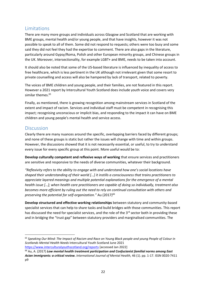# **Limitations**

There are many more groups and individuals across Glasgow and Scotland that are working with BME groups, mental health and/or young people, and that have insights, however it was not possible to speak to all of them. Some did not respond to requests; others were too busy and some said they did not feel they had the expertise to comment. There are also gaps in the literature, particularly around Gypsy/Roma, Polish and other European minority groups, and Chinese groups in the UK. Moreover, intersectionality, for example LGBT+ and BME, needs to be taken into account.

It should also be noted that some of the US-based literature is influenced by inequality of access to free healthcare, which is less pertinent in the UK although not irrelevant given that some resort to private counselling and access will also be hampered by lack of transport, related to poverty.

The voices of BME children and young people, and their families, are not featured in this report. However a 2021 report by Intercultural Youth Scotland does include youth voice and covers very similar themes.<sup>65</sup>

Finally, as mentioned, there is growing recognition among mainstream services in Scotland of the extent and impact of racism. Services and individual staff must be competent in recognising this impact; recognising unconscious or implicit bias, and responding to the impact it can have on BME children and young people's mental health and service access.

# **Discussion**

l

Clearly there are many nuances around the specific, overlapping barriers faced by different groups; and none of these groups is static but rather the issues will change with time and within groups. However, the discussions showed that it is not necessarily essential, or useful, to try to understand every issue for every specific group at this point. More useful would be to:

Develop culturally competent and reflexive ways of working that ensure services and practitioners are sensitive and responsive to the needs of diverse communities, whatever their background.

"Reflexivity refers to the ability to engage with and understand how one's social locations have shaped their understanding of their world […] it instills a consciousness that trains practitioners to appreciate layered meanings and multiple potential explanations for the emergence of a mental health issue […]; when health care practitioners are capable of doing so individually, treatment also becomes more efficient by ruling out the need to rely on continual consultation with others and preserving the potential for self-organization." Au  $(2017)^{66}$ 

Develop structured and effective working relationships between statutory and community-based specialist services that can help to share tasks and build bridges with those communities. This report has discussed the need for specialist services, and the role of the  $3<sup>rd</sup>$  sector both in providing these and in bridging the "trust gap" between statutory providers and marginalised communities. The

<sup>&</sup>lt;sup>65</sup> Speaking Our Mind: The Impact of Racism and Race on Young Black people and young People of Colour in Scotlands Mental Health Needs Intercultural Youth Scotland June 2021 https://www.interculturalyouthscotland.org/reports [accessed Jan 2022]

 $66$  Au, A. (2017) Low mental health treatment participation and Confucianist familial norms among East Asian immigrants: a critical review. International Journal of Mental Health, 46 (1). pp. 1-17. ISSN 0020-7411 p9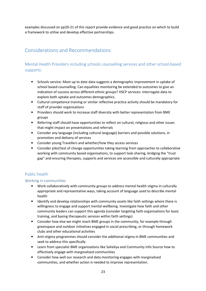examples discussed on pp20-21 of this report provide evidence and good practice on which to build a framework to utilise and develop effective partnerships.

# Considerations and Recommendations

# Mental Health Providers including schools counselling services and other school-based supports:

- Schools service: Most up to date data suggests a demographic improvement in uptake of school based counselling. Can equalities monitoring be extended to outcomes to give an indication of success across different ethnic groups? HSCP services: interrogate data to explore both uptake and outcomes demographics.
- Cultural competence training or similar reflective practice activity should be mandatory for staff of provider organisations
- Providers should work to increase staff diversity with better representation from BME groups
- Referring staff should have opportunities to reflect on cultural, religious and other issues that might impact on presentations and referrals
- Consider any language (including cultural language) barriers and possible solutions, in promotion and delivery of services
- Consider young Travellers and whether/how they access services
- Consider pilot/test of change opportunities taking learning from approaches to collaborative working with community based organisations, to support task-sharing, bridging the "trust gap" and ensuring therapies, supports and services are accessible and culturally appropriate

# Public health

## Working in communities

- Work collaboratively with community groups to address mental health stigma in culturally appropriate and representative ways, taking account of language used to describe mental health
- Identify and develop relationships with community assets like faith settings where there is willingness to engage and support mental wellbeing. Investigate how faith and other community leaders can support this agenda (consider targeting faith organisations for basic training, and basing therapeutic services within faith settings)
- Consider how else we might reach BME groups in the community, for example through greenspace and outdoor initiatives engaged in social prescribing, or through homework clubs and other educational activities
- Anti-stigma programmes should consider the additional stigma in BME communities and seek to address this specifically
- Learn from specialist BME organisations like Saheliya and Community Info Source how to effectively engage with marginalised communities
- Consider how well our research and data monitoring engages with marginalised communities, and whether action is needed to improve representation.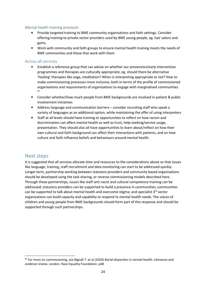#### Mental health training provision

- Provide targeted training to BME community organisations and faith settings. Consider offering training to private sector providers used by BME young people, eg. hair salons and gyms.
- Work with community and faith groups to ensure mental health training meets the needs of BME communities and those that work with them

#### Across all services

- Establish a reference group that can advise on whether our prevention/early intervention programmes and therapies are culturally appropriate, eg. should there be alternative 'healing' therapies like yoga, meditation? When is interpreting appropriate or not? How to make commissioning processes more inclusive, both in terms of the profile of commissioned organisations and requirements of organisations to engage with marginalised communities. 67
- Consider whether/how much people from BME backgrounds are involved in patient & public involvement initiatives
- Address language and communication barriers consider recruiting staff who speak a variety of languages as an additional option, while maintaining the offer of using interpreters
- Staff at all levels should have training or opportunities to reflect on how racism and discrimination can affect mental health as well as trust, help-seeking/service usage, presentation. They should also all have opportunities to learn about/reflect on how their own cultural and faith background can affect their interactions with patients, and on how culture and faith influence beliefs and behaviours around mental health.

# Next steps

 $\overline{\phantom{0}}$ 

It is suggested that all services allocate time and resources to the considerations above so that issues like language, training, staff recruitment and data monitoring can start to be addressed quickly. Longer term, partnership working between statutory providers and community based organisations should be developed using the task sharing, or reverse commissioning models described here. Through these partnerships, issues like staff anti-racist and cultural competence training can be addressed; statutory providers can be supported to build a presence in communities; communities can be supported to talk about mental health and overcome stigma; and specialist  $3^{rd}$  sector organisations can build capacity and capability to respond to mental health needs. The voices of children and young people from BME backgrounds should form part of this response and should be supported through such partnerships.

 $67$  For more on commissioning, see Bignall T. et al (2020) Racial disparities in mental health: Literature and evidence review. London. Race Equality Foundation. p48